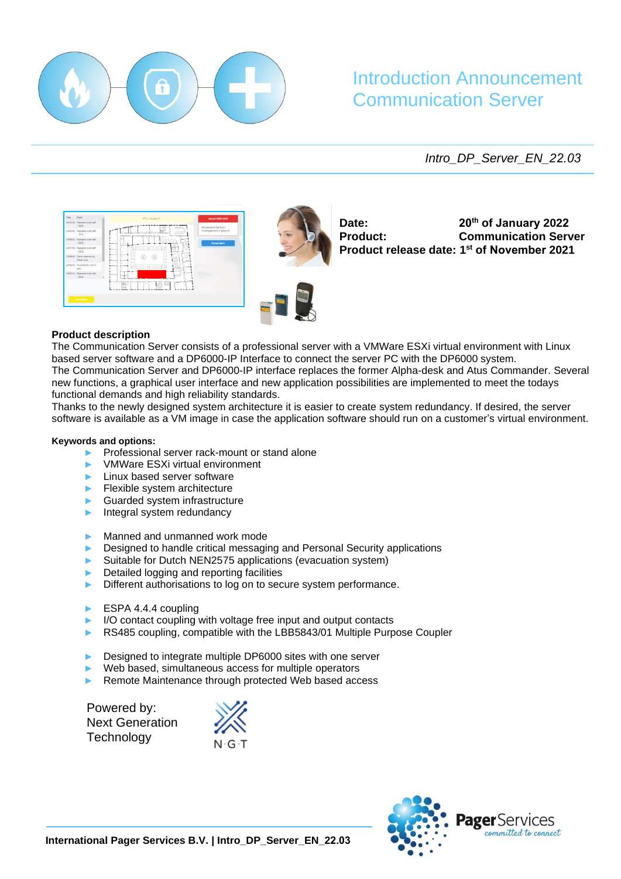

# Introduction Announcement Communication Server

*Intro\_DP\_Server\_EN\_22.03*





**Date: Product:** 

**20th of January 2022 Communication Server Product release date: 1 st of November 2021**

# **Product description**

The Communication Server consists of a professional server with a VMWare ESXi virtual environment with Linux based server software and a DP6000-IP Interface to connect the server PC with the DP6000 system. The Communication Server and DP6000-IP interface replaces the former Alpha-desk and Atus Commander. Several new functions, a graphical user interface and new application possibilities are implemented to meet the todays functional demands and high reliability standards.

Thanks to the newly designed system architecture it is easier to create system redundancy. If desired, the server software is available as a VM image in case the application software should run on a customer's virtual environment.

#### **Keywords and options:**

- Professional server rack-mount or stand alone
- ► VMWare ESXi virtual environment
- Linux based server software
- ► Flexible system architecture
- Guarded system infrastructure
- Integral system redundancy
- Manned and unmanned work mode
- Designed to handle critical messaging and Personal Security applications
- Suitable for Dutch NEN2575 applications (evacuation system)
- Detailed logging and reporting facilities
- Different authorisations to log on to secure system performance.
- ► ESPA 4.4.4 coupling
- I/O contact coupling with voltage free input and output contacts
- RS485 coupling, compatible with the LBB5843/01 Multiple Purpose Coupler
- Designed to integrate multiple DP6000 sites with one server
- Web based, simultaneous access for multiple operators
- Remote Maintenance through protected Web based access

Powered by: Next Generation **Technology** 

 $N \cdot G \cdot T$ 

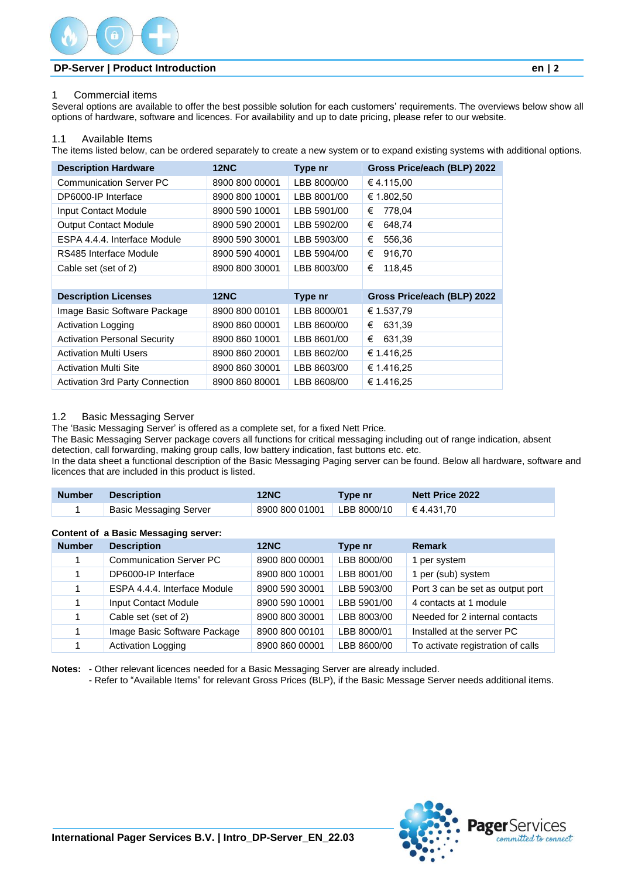

# **DP-Server | Product Introduction en | 2**

## 1 Commercial items

Several options are available to offer the best possible solution for each customers' requirements. The overviews below show all options of hardware, software and licences. For availability and up to date pricing, please refer to our website.

## 1.1 Available Items

The items listed below, can be ordered separately to create a new system or to expand existing systems with additional options.

| <b>Description Hardware</b>            | <b>12NC</b>    | Type nr     | Gross Price/each (BLP) 2022 |
|----------------------------------------|----------------|-------------|-----------------------------|
| <b>Communication Server PC</b>         | 8900 800 00001 | LBB 8000/00 | €4.115,00                   |
| DP6000-IP Interface                    | 8900 800 10001 | LBB 8001/00 | € 1.802.50                  |
| Input Contact Module                   | 8900 590 10001 | LBB 5901/00 | 778,04<br>€                 |
| <b>Output Contact Module</b>           | 8900 590 20001 | LBB 5902/00 | €<br>648,74                 |
| ESPA 4.4.4. Interface Module           | 8900 590 30001 | LBB 5903/00 | €<br>556,36                 |
| RS485 Interface Module                 | 8900 590 40001 | LBB 5904/00 | €<br>916,70                 |
| Cable set (set of 2)                   | 8900 800 30001 | LBB 8003/00 | €<br>118,45                 |
|                                        |                |             |                             |
| <b>Description Licenses</b>            | <b>12NC</b>    | Type nr     | Gross Price/each (BLP) 2022 |
| Image Basic Software Package           | 8900 800 00101 | LBB 8000/01 | € 1.537,79                  |
| <b>Activation Logging</b>              | 8900 860 00001 | LBB 8600/00 | 631,39<br>€                 |
| <b>Activation Personal Security</b>    | 8900 860 10001 | LBB 8601/00 | €<br>631,39                 |
| <b>Activation Multi Users</b>          | 8900 860 20001 | LBB 8602/00 | € 1.416,25                  |
| <b>Activation Multi Site</b>           | 8900 860 30001 | LBB 8603/00 | € 1.416.25                  |
| <b>Activation 3rd Party Connection</b> | 8900 860 80001 | LBB 8608/00 | € 1.416,25                  |

# 1.2 Basic Messaging Server

The 'Basic Messaging Server' is offered as a complete set, for a fixed Nett Price.

The Basic Messaging Server package covers all functions for critical messaging including out of range indication, absent detection, call forwarding, making group calls, low battery indication, fast buttons etc. etc.

In the data sheet a functional description of the Basic Messaging Paging server can be found. Below all hardware, software and licences that are included in this product is listed.

| <b>Number</b> | <b>Description</b>            | <b>12NC</b>                                         | Type nr | <b>Nett Price 2022</b> |
|---------------|-------------------------------|-----------------------------------------------------|---------|------------------------|
|               | <b>Basic Messaging Server</b> | $\mid$ 8900 800 01001 LBB 8000/10 $\mid$ € 4.431,70 |         |                        |

#### **Content of a Basic Messaging server:**

| <b>Number</b> | <b>Description</b>             | <b>12NC</b>    | Type nr     | <b>Remark</b>                     |
|---------------|--------------------------------|----------------|-------------|-----------------------------------|
|               | <b>Communication Server PC</b> | 8900 800 00001 | LBB 8000/00 | 1 per system                      |
|               | DP6000-IP Interface            | 8900 800 10001 | LBB 8001/00 | 1 per (sub) system                |
|               | ESPA 4.4.4. Interface Module   | 8900 590 30001 | LBB 5903/00 | Port 3 can be set as output port  |
|               | <b>Input Contact Module</b>    | 8900 590 10001 | LBB 5901/00 | 4 contacts at 1 module            |
|               | Cable set (set of 2)           | 8900 800 30001 | LBB 8003/00 | Needed for 2 internal contacts    |
|               | Image Basic Software Package   | 8900 800 00101 | LBB 8000/01 | Installed at the server PC        |
|               | <b>Activation Logging</b>      | 8900 860 00001 | LBB 8600/00 | To activate registration of calls |

**Notes:** - Other relevant licences needed for a Basic Messaging Server are already included.

- Refer to "Available Items" for relevant Gross Prices (BLP), if the Basic Message Server needs additional items.

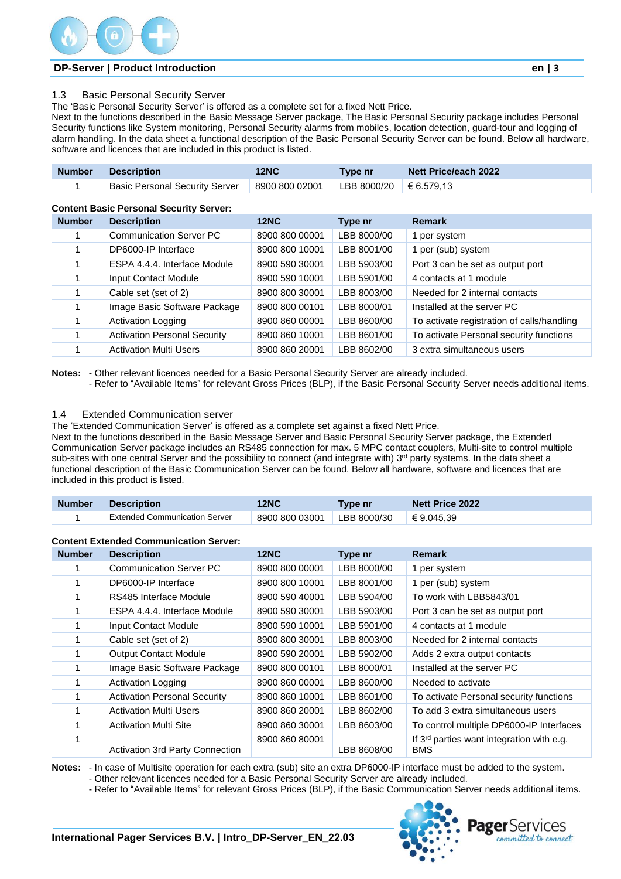# **DP-Server | Product Introduction en | 3**

The 'Basic Personal Security Server' is offered as a complete set for a fixed Nett Price.

Next to the functions described in the Basic Message Server package, The Basic Personal Security package includes Personal Security functions like System monitoring, Personal Security alarms from mobiles, location detection, guard-tour and logging of alarm handling. In the data sheet a functional description of the Basic Personal Security Server can be found. Below all hardware, software and licences that are included in this product is listed.

| Number Description                                                                  | 12NC | Type nr | <b>Nett Price/each 2022</b> |
|-------------------------------------------------------------------------------------|------|---------|-----------------------------|
| Basic Personal Security Server   8900 800 02001   LBB 8000/20   $\epsilon$ 6.579,13 |      |         |                             |

#### **Content Basic Personal Security Server:**

| <b>Number</b> | <b>Description</b>                  | <b>12NC</b>    | Type nr     | <b>Remark</b>                              |
|---------------|-------------------------------------|----------------|-------------|--------------------------------------------|
|               | <b>Communication Server PC</b>      | 8900 800 00001 | LBB 8000/00 | per system                                 |
|               | DP6000-IP Interface                 | 8900 800 10001 | LBB 8001/00 | 1 per (sub) system                         |
|               | ESPA 4.4.4. Interface Module        | 8900 590 30001 | LBB 5903/00 | Port 3 can be set as output port           |
|               | Input Contact Module                | 8900 590 10001 | LBB 5901/00 | 4 contacts at 1 module                     |
|               | Cable set (set of 2)                | 8900 800 30001 | LBB 8003/00 | Needed for 2 internal contacts             |
|               | Image Basic Software Package        | 8900 800 00101 | LBB 8000/01 | Installed at the server PC                 |
|               | <b>Activation Logging</b>           | 8900 860 00001 | LBB 8600/00 | To activate registration of calls/handling |
|               | <b>Activation Personal Security</b> | 8900 860 10001 | LBB 8601/00 | To activate Personal security functions    |
|               | <b>Activation Multi Users</b>       | 8900 860 20001 | LBB 8602/00 | 3 extra simultaneous users                 |

**Notes:** - Other relevant licences needed for a Basic Personal Security Server are already included.

- Refer to "Available Items" for relevant Gross Prices (BLP), if the Basic Personal Security Server needs additional items.

## 1.4 Extended Communication server

The 'Extended Communication Server' is offered as a complete set against a fixed Nett Price.

Next to the functions described in the Basic Message Server and Basic Personal Security Server package, the Extended Communication Server package includes an RS485 connection for max. 5 MPC contact couplers, Multi-site to control multiple sub-sites with one central Server and the possibility to connect (and integrate with) 3<sup>rd</sup> party systems. In the data sheet a functional description of the Basic Communication Server can be found. Below all hardware, software and licences that are included in this product is listed.

| <b>Number</b> | <b>Description</b>                   | <b>12NC</b>    | ⊺vpe nr     | <b>Nett Price 2022</b> |
|---------------|--------------------------------------|----------------|-------------|------------------------|
|               | <b>Extended Communication Server</b> | 8900 800 03001 | LBB 8000/30 | $\in 9.045.39$         |

#### **Content Extended Communication Server:**

| <b>Number</b> | <b>Description</b>                  | <b>12NC</b>    | Type nr     | <b>Remark</b>                                                       |
|---------------|-------------------------------------|----------------|-------------|---------------------------------------------------------------------|
|               | <b>Communication Server PC</b>      | 8900 800 00001 | LBB 8000/00 | 1 per system                                                        |
|               | DP6000-IP Interface                 | 8900 800 10001 | LBB 8001/00 | 1 per (sub) system                                                  |
|               | RS485 Interface Module              | 8900 590 40001 | LBB 5904/00 | To work with LBB5843/01                                             |
|               | ESPA 4.4.4. Interface Module        | 8900 590 30001 | LBB 5903/00 | Port 3 can be set as output port                                    |
|               | Input Contact Module                | 8900 590 10001 | LBB 5901/00 | 4 contacts at 1 module                                              |
|               | Cable set (set of 2)                | 8900 800 30001 | LBB 8003/00 | Needed for 2 internal contacts                                      |
|               | <b>Output Contact Module</b>        | 8900 590 20001 | LBB 5902/00 | Adds 2 extra output contacts                                        |
|               | Image Basic Software Package        | 8900 800 00101 | LBB 8000/01 | Installed at the server PC                                          |
|               | <b>Activation Logging</b>           | 8900 860 00001 | LBB 8600/00 | Needed to activate                                                  |
|               | <b>Activation Personal Security</b> | 8900 860 10001 | LBB 8601/00 | To activate Personal security functions                             |
|               | <b>Activation Multi Users</b>       | 8900 860 20001 | LBB 8602/00 | To add 3 extra simultaneous users                                   |
|               | <b>Activation Multi Site</b>        | 8900 860 30001 | LBB 8603/00 | To control multiple DP6000-IP Interfaces                            |
|               | Activation 3rd Party Connection     | 8900 860 80001 | LBB 8608/00 | If 3 <sup>rd</sup> parties want integration with e.g.<br><b>BMS</b> |

**Notes:** - In case of Multisite operation for each extra (sub) site an extra DP6000-IP interface must be added to the system. - Other relevant licences needed for a Basic Personal Security Server are already included.

- Refer to "Available Items" for relevant Gross Prices (BLP), if the Basic Communication Server needs additional items.